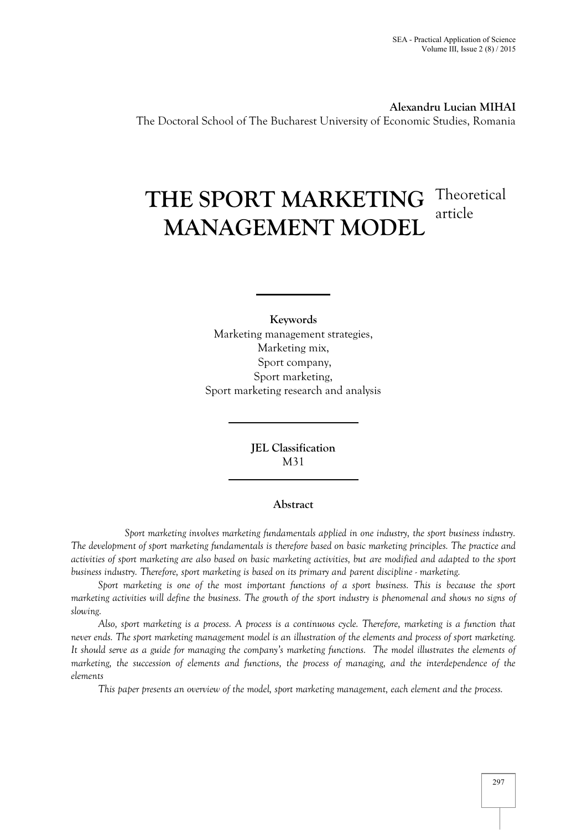**Alexandru Lucian MIHAI** The Doctoral School of The Bucharest University of Economic Studies, Romania

# **THE SPORT MARKETING MANAGEMENT MODEL Theoretical** article

**Keywords** Marketing management strategies, Marketing mix, Sport company, Sport marketing, Sport marketing research and analysis

> **JEL Classification** M31

# **Abstract**

*Sport marketing involves marketing fundamentals applied in one industry, the sport business industry. The development of sport marketing fundamentals is therefore based on basic marketing principles. The practice and activities of sport marketing are also based on basic marketing activities, but are modified and adapted to the sport business industry. Therefore, sport marketing is based on its primary and parent discipline - marketing.*

*Sport marketing is one of the most important functions of a sport business. This is because the sport marketing activities will define the business. The growth of the sport industry is phenomenal and shows no signs of slowing.*

*Also, sport marketing is a process. A process is a continuous cycle. Therefore, marketing is a function that never ends. The sport marketing management model is an illustration of the elements and process of sport marketing. It should serve as a guide for managing the company's marketing functions. The model illustrates the elements of marketing, the succession of elements and functions, the process of managing, and the interdependence of the elements*

*This paper presents an overview of the model, sport marketing management, each element and the process.*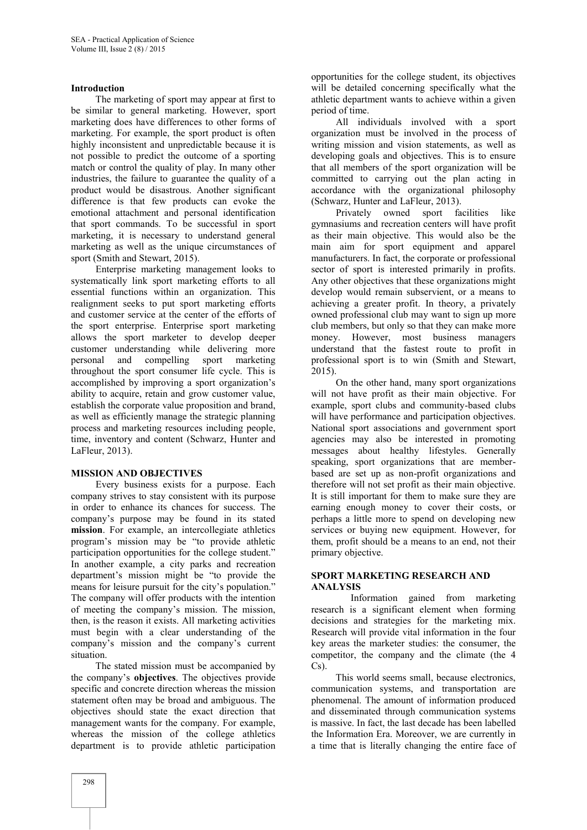#### **Introduction**

The marketing of sport may appear at first to be similar to general marketing. However, sport marketing does have differences to other forms of marketing. For example, the sport product is often highly inconsistent and unpredictable because it is not possible to predict the outcome of a sporting match or control the quality of play. In many other industries, the failure to guarantee the quality of a product would be disastrous. Another significant difference is that few products can evoke the emotional attachment and personal identification that sport commands. To be successful in sport marketing, it is necessary to understand general marketing as well as the unique circumstances of sport (Smith and Stewart, 2015).

Enterprise marketing management looks to systematically link sport marketing efforts to all essential functions within an organization. This realignment seeks to put sport marketing efforts and customer service at the center of the efforts of the sport enterprise. Enterprise sport marketing allows the sport marketer to develop deeper customer understanding while delivering more personal and compelling sport marketing throughout the sport consumer life cycle. This is accomplished by improving a sport organization's ability to acquire, retain and grow customer value, establish the corporate value proposition and brand, as well as efficiently manage the strategic planning process and marketing resources including people, time, inventory and content (Schwarz, Hunter and LaFleur, 2013).

#### **MISSION AND OBJECTIVES**

Every business exists for a purpose. Each company strives to stay consistent with its purpose in order to enhance its chances for success. The company's purpose may be found in its stated **mission**. For example, an intercollegiate athletics program's mission may be "to provide athletic participation opportunities for the college student." In another example, a city parks and recreation department's mission might be "to provide the means for leisure pursuit for the city's population." The company will offer products with the intention of meeting the company's mission. The mission, then, is the reason it exists. All marketing activities must begin with a clear understanding of the company's mission and the company's current situation.

The stated mission must be accompanied by the company's **objectives**. The objectives provide specific and concrete direction whereas the mission statement often may be broad and ambiguous. The objectives should state the exact direction that management wants for the company. For example, whereas the mission of the college athletics department is to provide athletic participation

opportunities for the college student, its objectives will be detailed concerning specifically what the athletic department wants to achieve within a given period of time.

All individuals involved with a sport organization must be involved in the process of writing mission and vision statements, as well as developing goals and objectives. This is to ensure that all members of the sport organization will be committed to carrying out the plan acting in accordance with the organizational philosophy (Schwarz, Hunter and LaFleur, 2013).

Privately owned sport facilities like gymnasiums and recreation centers will have profit as their main objective. This would also be the main aim for sport equipment and apparel manufacturers. In fact, the corporate or professional sector of sport is interested primarily in profits. Any other objectives that these organizations might develop would remain subservient, or a means to achieving a greater profit. In theory, a privately owned professional club may want to sign up more club members, but only so that they can make more money. However, most business managers understand that the fastest route to profit in professional sport is to win (Smith and Stewart,

2015).<br>On the other hand, many sport organizations will not have profit as their main objective. For example, sport clubs and community-based clubs will have performance and participation objectives. National sport associations and government sport agencies may also be interested in promoting messages about healthy lifestyles. Generally speaking, sport organizations that are member based are set up as non-profit organizations and therefore will not set profit as their main objective. It is still important for them to make sure they are earning enough money to cover their costs, or perhaps a little more to spend on developing new services or buying new equipment. However, for them, profit should be a means to an end, not their primary objective.

#### **SPORT MARKETING RESEARCH AND ANALYSIS**

Information gained from marketing research is a significant element when forming decisions and strategies for the marketing mix. Research will provide vital information in the four key areas the marketer studies: the consumer, the competitor, the company and the climate (the 4 Cs).

This world seems small, because electronics, communication systems, and transportation are phenomenal. The amount of information produced and disseminated through communication systems is massive. In fact, the last decade has been labelled the Information Era. Moreover, we are currently in a time that is literally changing the entire face of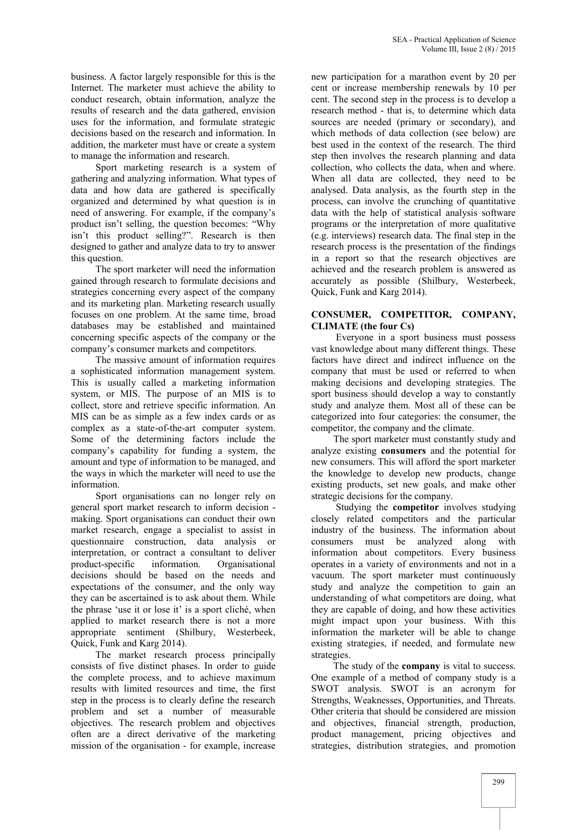business. A factor largely responsible for this is the Internet. The marketer must achieve the ability to conduct research, obtain information, analyze the results of research and the data gathered, envision uses for the information, and formulate strategic decisions based on the research and information. In addition, the marketer must have or create a system to manage the information and research.

Sport marketing research is a system of gathering and analyzing information. What types of data and how data are gathered is specifically organized and determined by what question is in need of answering. For example, if the company's product isn't selling, the question becomes: "Why isn't this product selling?". Research is then designed to gather and analyze data to try to answer this question.

The sport marketer will need the information gained through research to formulate decisions and strategies concerning every aspect of the company and its marketing plan. Marketing research usually focuses on one problem. At the same time, broad databases may be established and maintained concerning specific aspects of the company or the company's consumer markets and competitors.

The massive amount of information requires a sophisticated information management system. This is usually called a marketing information system, or MIS. The purpose of an MIS is to collect, store and retrieve specific information. An MIS can be as simple as a few index cards or as complex as a state-of-the-art computer system. Some of the determining factors include the company's capability for funding a system, the amount and type of information to be managed, and the ways in which the marketer will need to use the information.

Sport organisations can no longer rely on general sport market research to inform decision making. Sport organisations can conduct their own market research, engage a specialist to assist in questionnaire construction, data analysis or interpretation, or contract a consultant to deliver product-specific information. Organisational decisions should be based on the needs and expectations of the consumer, and the only way they can be ascertained is to ask about them. While the phrase 'use it or lose it' is a sport cliché, when applied to market research there is not a more appropriate sentiment (Shilbury, Westerbeek, Quick, Funk and Karg 2014).

The market research process principally consists of five distinct phases. In order to guide the complete process, and to achieve maximum results with limited resources and time, the first step in the process is to clearly define the research problem and set a number of measurable objectives. The research problem and objectives often are a direct derivative of the marketing mission of the organisation - for example, increase

new participation for a marathon event by 20 per cent or increase membership renewals by 10 per cent. The second step in the process is to develop a research method - that is, to determine which data sources are needed (primary or secondary), and which methods of data collection (see below) are best used in the context of the research. The third step then involves the research planning and data collection, who collects the data, when and where. When all data are collected, they need to be analysed. Data analysis, as the fourth step in the process, can involve the crunching of quantitative data with the help of statistical analysis software programs or the interpretation of more qualitative (e.g. interviews) research data. The final step in the research process is the presentation of the findings in a report so that the research objectives are achieved and the research problem is answered as accurately as possible (Shilbury, Westerbeek, Quick, Funk and Karg 2014).

#### **CONSUMER, COMPETITOR, COMPANY, CLIMATE (the four Cs)**

Everyone in a sport business must possess vast knowledge about many different things. These factors have direct and indirect influence on the company that must be used or referred to when making decisions and developing strategies. The sport business should develop a way to constantly study and analyze them. Most all of these can be categorized into four categories: the consumer, the competitor, the company and the climate.

The sport marketer must constantly study and analyze existing **consumers** and the potential for new consumers. This will afford the sport marketer the knowledge to develop new products, change existing products, set new goals, and make other strategic decisions for the company.

Studying the **competitor** involves studying closely related competitors and the particular industry of the business. The information about consumers must be analyzed along with information about competitors. Every business operates in a variety of environments and not in a vacuum. The sport marketer must continuously study and analyze the competition to gain an understanding of what competitors are doing, what they are capable of doing, and how these activities might impact upon your business. With this information the marketer will be able to change existing strategies, if needed, and formulate new strategies.

The study of the **company** is vital to success. One example of a method of company study is a SWOT analysis. SWOT is an acronym for Strengths, Weaknesses, Opportunities, and Threats. Other criteria that should be considered are mission and objectives, financial strength, production, product management, pricing objectives and strategies, distribution strategies, and promotion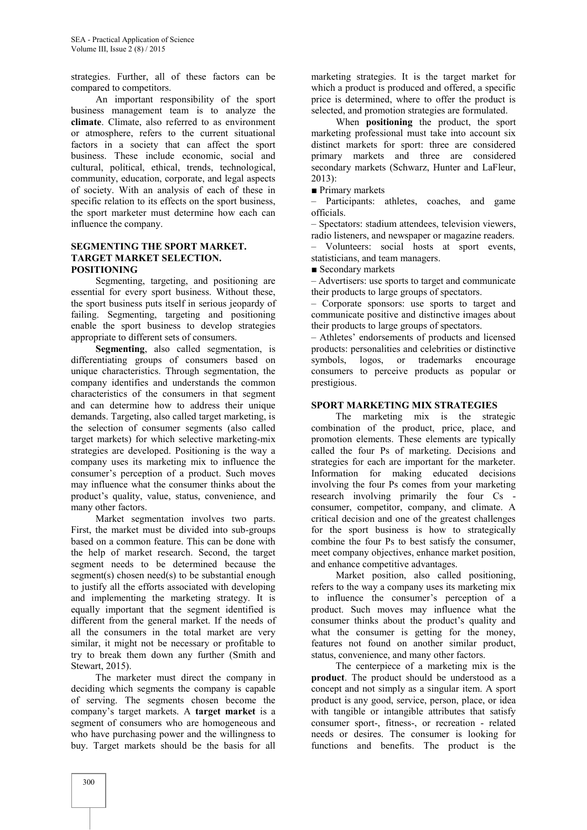strategies. Further, all of these factors can be compared to competitors.

An important responsibility of the sport business management team is to analyze the **climate**. Climate, also referred to as environment or atmosphere, refers to the current situational factors in a society that can affect the sport business. These include economic, social and cultural, political, ethical, trends, technological, community, education, corporate, and legal aspects of society. With an analysis of each of these in specific relation to its effects on the sport business, the sport marketer must determine how each can influence the company.

#### **SEGMENTING THE SPORT MARKET. TARGET MARKET SELECTION. POSITIONING**

Segmenting, targeting, and positioning are essential for every sport business. Without these, the sport business puts itself in serious jeopardy of failing. Segmenting, targeting and positioning enable the sport business to develop strategies appropriate to different sets of consumers.

**Segmenting**, also called segmentation, is differentiating groups of consumers based on symbols, unique characteristics. Through segmentation, the company identifies and understands the common characteristics of the consumers in that segment and can determine how to address their unique demands. Targeting, also called target marketing, is the selection of consumer segments (also called target markets) for which selective marketing-mix strategies are developed. Positioning is the way a company uses its marketing mix to influence the consumer's perception of a product. Such moves may influence what the consumer thinks about the product's quality, value, status, convenience, and many other factors.

Market segmentation involves two parts. First, the market must be divided into sub-groups based on a common feature. This can be done with the help of market research. Second, the target segment needs to be determined because the segment(s) chosen need(s) to be substantial enough to justify all the efforts associated with developing and implementing the marketing strategy. It is equally important that the segment identified is different from the general market. If the needs of all the consumers in the total market are very similar, it might not be necessary or profitable to try to break them down any further (Smith and Stewart, 2015).

The marketer must direct the company in deciding which segments the company is capable of serving. The segments chosen become the company's target markets. A **target market** is a segment of consumers who are homogeneous and who have purchasing power and the willingness to buy. Target markets should be the basis for all

marketing strategies. It is the target market for which a product is produced and offered, a specific price is determined, where to offer the product is selected, and promotion strategies are formulated.

When **positioning** the product, the sport marketing professional must take into account six distinct markets for sport: three are considered primary markets and three are considered secondary markets (Schwarz, Hunter and LaFleur, 2013):

■ Primary markets

– Participants: athletes, coaches, and game officials.

– Spectators: stadium attendees, television viewers, radio listeners, and newspaper or magazine readers.

– Volunteers: social hosts at sport events, statisticians, and team managers.

■ Secondary markets

– Advertisers: use sports to target and communicate their products to large groups of spectators.

– Corporate sponsors: use sports to target and communicate positive and distinctive images about their products to large groups of spectators.

– Athletes' endorsements of products and licensed products: personalities and celebrities or distinctive logos, or trademarks encourage consumers to perceive products as popular or prestigious.

### **SPORT MARKETING MIX STRATEGIES**

The marketing mix is the strategic combination of the product, price, place, and promotion elements. These elements are typically called the four Ps of marketing. Decisions and strategies for each are important for the marketer. Information for making educated decisions involving the four Ps comes from your marketing research involving primarily the four Cs consumer, competitor, company, and climate. A critical decision and one of the greatest challenges for the sport business is how to strategically combine the four Ps to best satisfy the consumer, meet company objectives, enhance market position, and enhance competitive advantages.

Market position, also called positioning, refers to the way a company uses its marketing mix to influence the consumer's perception of a product. Such moves may influence what the consumer thinks about the product's quality and what the consumer is getting for the money, features not found on another similar product, status, convenience, and many other factors.

The centerpiece of a marketing mix is the **product**. The product should be understood as a concept and not simply as a singular item. A sport product is any good, service, person, place, or idea with tangible or intangible attributes that satisfy consumer sport-, fitness-, or recreation - related needs or desires. The consumer is looking for functions and benefits. The product is the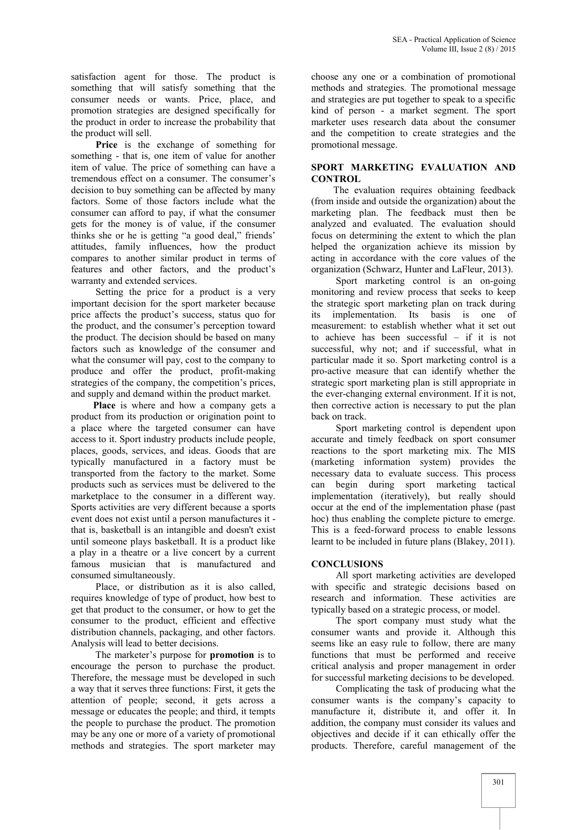satisfaction agent for those. The product is something that will satisfy something that the consumer needs or wants. Price, place, and promotion strategies are designed specifically for the product in order to increase the probability that the product will sell.

**Price** is the exchange of something for something - that is, one item of value for another item of value. The price of something can have a tremendous effect on a consumer. The consumer's decision to buy something can be affected by many factors. Some of those factors include what the consumer can afford to pay, if what the consumer gets for the money is of value, if the consumer thinks she or he is getting "a good deal," friends' attitudes, family influences, how the product compares to another similar product in terms of features and other factors, and the product's warranty and extended services.

Setting the price for a product is a very important decision for the sport marketer because price affects the product's success, status quo for the product, and the consumer's perception toward the product. The decision should be based on many factors such as knowledge of the consumer and what the consumer will pay, cost to the company to produce and offer the product, profit-making strategies of the company, the competition's prices, and supply and demand within the product market.

**Place** is where and how a company gets a product from its production or origination point to a place where the targeted consumer can have access to it. Sport industry products include people, places, goods, services, and ideas. Goods that are typically manufactured in a factory must be transported from the factory to the market. Some products such as services must be delivered to the marketplace to the consumer in a different way. Sports activities are very different because a sports event does not exist until a person manufactures it that is, basketball is an intangible and doesn't exist until someone plays basketball. It is a product like a play in a theatre or a live concert by a current famous musician that is manufactured and consumed simultaneously.

Place, or distribution as it is also called, requires knowledge of type of product, how best to get that product to the consumer, or how to get the consumer to the product, efficient and effective distribution channels, packaging, and other factors. Analysis will lead to better decisions.

The marketer's purpose for **promotion** is to encourage the person to purchase the product. Therefore, the message must be developed in such a way that it serves three functions: First, it gets the attention of people; second, it gets across a message or educates the people; and third, it tempts the people to purchase the product. The promotion may be any one or more of a variety of promotional methods and strategies. The sport marketer may

choose any one or a combination of promotional methods and strategies. The promotional message and strategies are put together to speak to a specific kind of person - a market segment. The sport marketer uses research data about the consumer and the competition to create strategies and the promotional message.

### **SPORT MARKETING EVALUATION AND CONTROL**

The evaluation requires obtaining feedback (from inside and outside the organization) about the marketing plan. The feedback must then be analyzed and evaluated. The evaluation should focus on determining the extent to which the plan helped the organization achieve its mission by acting in accordance with the core values of the organization (Schwarz, Hunter and LaFleur, 2013).

Sport marketing control is an on-going monitoring and review process that seeks to keep the strategic sport marketing plan on track during its implementation. Its basis is one of measurement: to establish whether what it set out to achieve has been successful – if it is not successful, why not; and if successful, what in particular made it so. Sport marketing control is a pro-active measure that can identify whether the strategic sport marketing plan is still appropriate in the ever-changing external environment. If it is not, then corrective action is necessary to put the plan back on track.

Sport marketing control is dependent upon accurate and timely feedback on sport consumer reactions to the sport marketing mix. The MIS (marketing information system) provides the necessary data to evaluate success. This process can begin during sport marketing tactical implementation (iteratively), but really should occur at the end of the implementation phase (past hoc) thus enabling the complete picture to emerge. This is a feed-forward process to enable lessons learnt to be included in future plans (Blakey, 2011).

# **CONCLUSIONS**

All sport marketing activities are developed with specific and strategic decisions based on research and information. These activities are typically based on a strategic process, or model.

The sport company must study what the consumer wants and provide it. Although this seems like an easy rule to follow, there are many functions that must be performed and receive critical analysis and proper management in order for successful marketing decisions to be developed.

Complicating the task of producing what the consumer wants is the company's capacity to manufacture it, distribute it, and offer it. In addition, the company must consider its values and objectives and decide if it can ethically offer the products. Therefore, careful management of the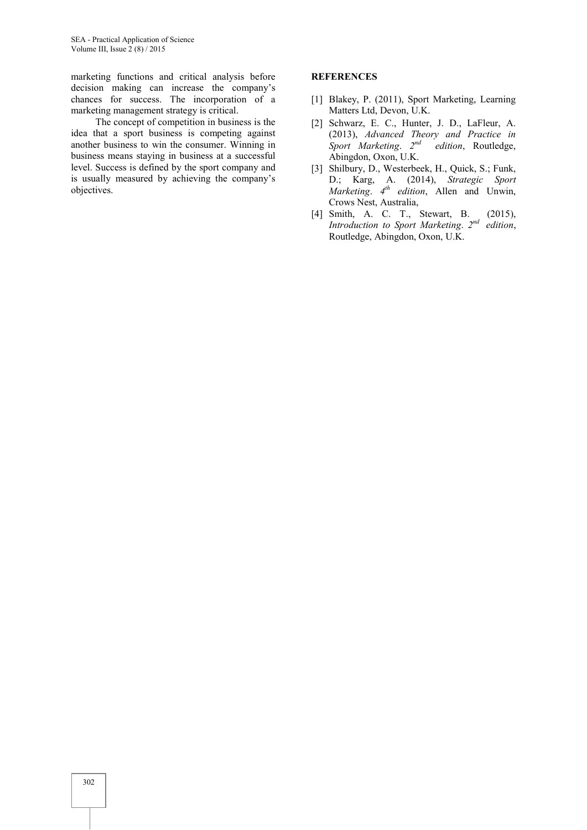marketing functions and critical analysis before decision making can increase the company's chances for success. The incorporation of a marketing management strategy is critical.

The concept of competition in business is the idea that a sport business is competing against another business to win the consumer. Winning in business means staying in business at a successful level. Success is defined by the sport company and is usually measured by achieving the company's objectives.

#### **REFERENCES**

- [1] Blakey, P. (2011), Sport Marketing, Learning Matters Ltd, Devon, U.K.
- [2] Schwarz, E. C., Hunter, J. D., LaFleur, A. (2013), *Advanced Theory and Practice in Sport Marketing*. *2 nd edition*, Routledge, Abingdon, Oxon, U.K.
- [3] Shilbury, D., Westerbeek, H., Quick, S.; Funk, D.; Karg, A. (2014), *Strategic Sport Marketing*. *4 th edition*, Allen and Unwin, Crows Nest, Australia,
- [4] Smith, A. C. T., Stewart, B. (2015), Introduction to Sport Marketing. 2<sup>nd</sup> edition, Routledge, Abingdon, Oxon, U.K.